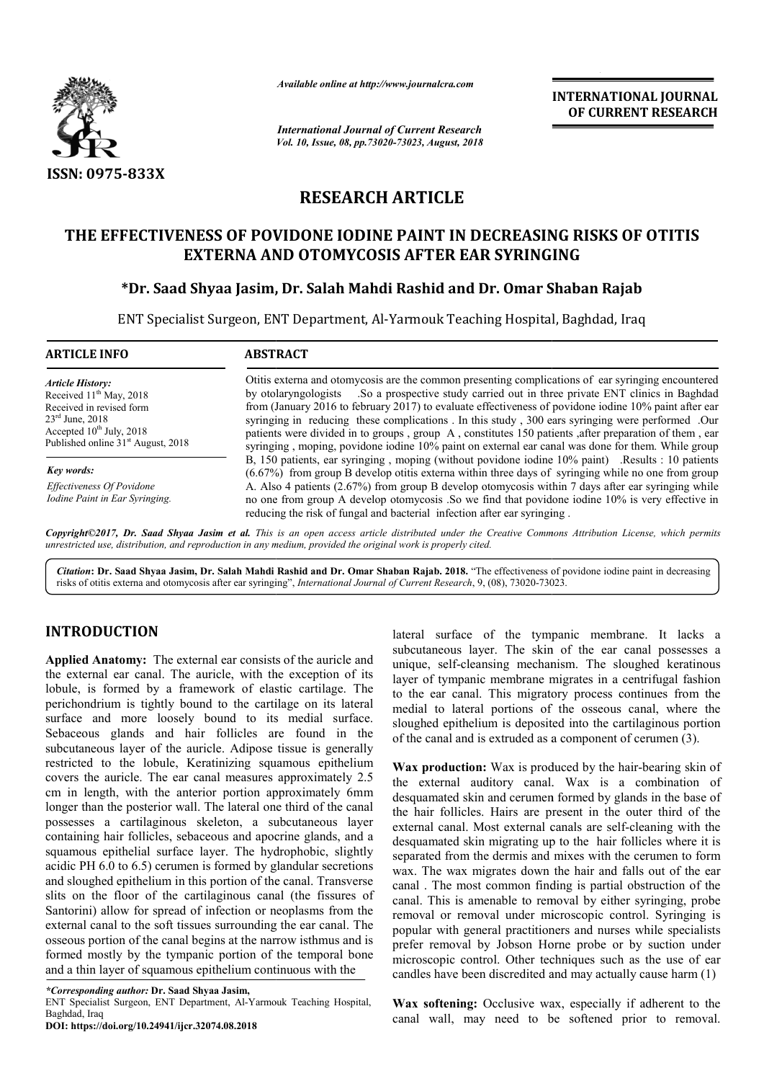

*Available online at http://www.journalcra.com*

*International Journal of Current Research Vol. 10, Issue, 08, pp.73020-73023, August, 2018* **INTERNATIONAL JOURNAL OF CURRENT RESEARCH** 

# **RESEARCH ARTICLE**

## THE EFFECTIVENESS OF POVIDONE IODINE PAINT IN DECREASING RISKS OF OTITIS<br>EXTERNA AND OTOMYCOSIS AFTER EAR SYRINGING **EXTERNA AND OTOMYCOSIS AFTER EAR SYRINGING**

## **\*Dr. Saad Shyaa Jasim, Dr. Salah Mahdi Rashid and Dr. Dr. Omar Shaban Rajab**

ENT Specialist Surgeon, ENT Department, Al-Yarmouk Teaching Hospital, Baghdad, Iraq

| <b>ABSTRACT</b>                                                                                                                                                                                                                                                                                                                                                                                                                                                                                                                                                                                                                     |
|-------------------------------------------------------------------------------------------------------------------------------------------------------------------------------------------------------------------------------------------------------------------------------------------------------------------------------------------------------------------------------------------------------------------------------------------------------------------------------------------------------------------------------------------------------------------------------------------------------------------------------------|
| Otitis externa and otomycosis are the common presenting complications of ear syringing encountered<br>So a prospective study carried out in three private ENT clinics in Baghdad<br>by otolaryngologists<br>from (January 2016 to february 2017) to evaluate effectiveness of povidone iodine 10% paint after ear<br>syringing in reducing these complications. In this study, 300 ears syringing were performed. Our<br>patients were divided in to groups, group A, constitutes 150 patients, after preparation of them, ear<br>syringing, moping, povidone iodine 10% paint on external ear canal was done for them. While group |
| B, 150 patients, ear syringing, moping (without povidone iodine 10% paint) .Results : 10 patients<br>$(6.67%)$ from group B develop otitis externa within three days of syringing while no one from group<br>A. Also 4 patients (2.67%) from group B develop otomycosis within 7 days after ear syringing while<br>no one from group A develop otomycosis. So we find that povidone iodine 10% is very effective in<br>reducing the risk of fungal and bacterial infection after ear syringing.                                                                                                                                     |
|                                                                                                                                                                                                                                                                                                                                                                                                                                                                                                                                                                                                                                     |

*Copyright©2017, Dr. Saad Shyaa Jasim et al. This is an open access article distributed under the Creative Commons Att is an Attribution License, which permits unrestricted use, distribution, and reproduction in any medium, provided the original work is properly cited.*

Citation: Dr. Saad Shyaa Jasim, Dr. Salah Mahdi Rashid and Dr. Omar Shaban Rajab. 2018. "The effectiveness of povidone iodine paint in decreasing risks of otitis externa and otomycosis after ear syringing", *International Journal of Current Research*, 9, (08), 73020-73023.

## **INTRODUCTION**

**Applied Anatomy:** The external ear consists of the auricle and the external ear canal. The auricle, with the exception of its lobule, is formed by a framework of elastic cartilage. The perichondrium is tightly bound to the cartilage on its lateral surface and more loosely bound to its medial surface. Sebaceous glands and hair follicles are found in the subcutaneous layer of the auricle. Adipose tissue is generally restricted to the lobule, Keratinizing squamous epithelium covers the auricle. The ear canal measures approximately 2.5 cm in length, with the anterior portion approximately 6mm longer than the posterior wall. The lateral one third of the canal possesses a cartilaginous skeleton, a subcutaneous layer containing hair follicles, sebaceous and apocrine glands, and a squamous epithelial surface layer. The hydrophobic, slightly acidic PH 6.0 to 6.5) cerumen is formed by glandular secretions and sloughed epithelium in this portion of the canal. Transverse slits on the floor of the cartilaginous canal (the fissures of Santorini) allow for spread of infection or neoplasms from the external canal to the soft tissues surrounding the ear canal. The osseous portion of the canal begins at the narrow isthmus and is formed mostly by the tympanic portion of the temporal bone and a thin layer of squamous epithelium continuous with the **RODUCTION**<br> **Solution** and surface of the tympanic membrane. It lacks a<br>such subcultaneous layer. The skin of the arr can Intossesses a<br>lied Anatomy: The scatteral are consists of the auricle and unique, self-clear<br>sing m

**DOI: https://doi.org/10.24941/ijcr.32074.08.2018**

subcutaneous layer. The skin of the ear canal possesses a unique, self-cleansing mechanism. The sloughed keratinous layer of tympanic membrane migrates in a centrifugal fashion lateral surface of the tympanic membrane. It lacks a subcutaneous layer. The skin of the ear canal possesses a unique, self-cleansing mechanism. The sloughed keratinous layer of tympanic membrane migrates in a centrifugal medial to lateral portions of the osseous canal, where the sloughed epithelium is deposited into the cartilaginous portion sloughed epithelium is deposited into the cartilaginous por<br>of the canal and is extruded as a component of cerumen (3).

Wax production: Wax is produced by the hair-bearing skin of the external auditory canal. Wax is a combination of desquamated skin and cerumen formed by glands in the base of the hair follicles. Hairs are present in the outer third of the external canal. Most external canals are self desquamated skin migrating up to the hair follicles where it is separated from the dermis and mixes with the cerumen to form wax. The wax migrates down the hair and falls out of the ear canal . The most common finding is partial obstruction of the canal. This is amenable to removal by either syringing, probe removal or removal under microscopic control. Syringing is popular with general practitioners and nurses while specialists prefer removal by Jobson Horne probe or by suction under microscopic control. Other techniques such as the use of ear candles have been discredited and may actually cause harm  $(1)$ external auditory canal. Wax is a combination of uamated skin and cerumen formed by glands in the base of air follicles. Hairs are present in the outer third of the nal canal. Most external canals are self-cleaning with th desquamated skin migrating up to the hair follicles where it is separated from the dermis and mixes with the cerumen to form wax. The wax migrates down the hair and falls out of the ear canal. The most common finding is pa INTERNATIONAL JOURNAL<br>
INTERNATIONAL JOURNAL<br>
INERENT RESEARCH<br>
INTERNATIONAL TOON (INTERNATIONAL TRESEARCH<br>
IT IN DECREASING RISKS OF OTITIS<br>
TENE EAR SYRINGING<br>
IT IN DECREASING RISKS OF OTITIS<br>
IT IN DECREASING RISKS OF

Wax softening: Occlusive wax, especially if adherent to the canal wall, may need to be softened prior to removal.

*<sup>\*</sup>Corresponding author:* **Dr. Saad Shyaa Jasim,** 

ENT Specialist Surgeon, ENT Department, Al-Yarmouk Teaching Hospital, Baghdad, Iraq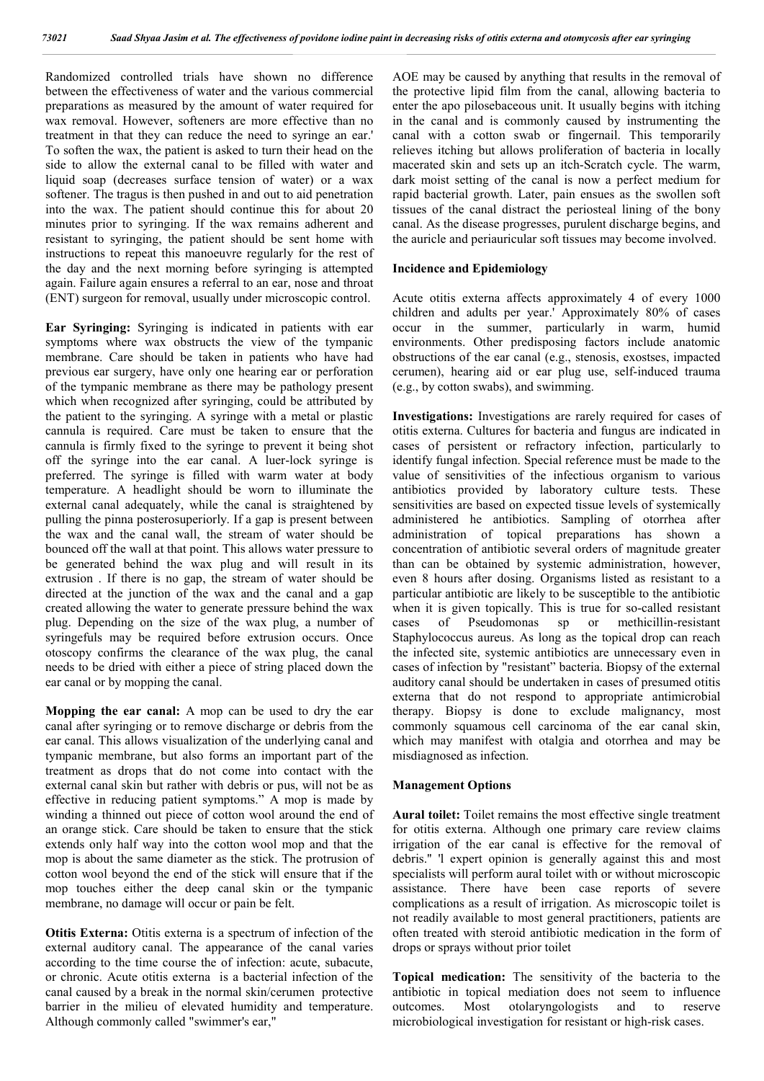Randomized controlled trials have shown no difference between the effectiveness of water and the various commercial preparations as measured by the amount of water required for wax removal. However, softeners are more effective than no treatment in that they can reduce the need to syringe an ear.' To soften the wax, the patient is asked to turn their head on the side to allow the external canal to be filled with water and liquid soap (decreases surface tension of water) or a wax softener. The tragus is then pushed in and out to aid penetration into the wax. The patient should continue this for about 20 minutes prior to syringing. If the wax remains adherent and resistant to syringing, the patient should be sent home with instructions to repeat this manoeuvre regularly for the rest of the day and the next morning before syringing is attempted again. Failure again ensures a referral to an ear, nose and throat (ENT) surgeon for removal, usually under microscopic control.

**Ear Syringing:** Syringing is indicated in patients with ear symptoms where wax obstructs the view of the tympanic membrane. Care should be taken in patients who have had previous ear surgery, have only one hearing ear or perforation of the tympanic membrane as there may be pathology present which when recognized after syringing, could be attributed by the patient to the syringing. A syringe with a metal or plastic cannula is required. Care must be taken to ensure that the cannula is firmly fixed to the syringe to prevent it being shot off the syringe into the ear canal. A luer-lock syringe is preferred. The syringe is filled with warm water at body temperature. A headlight should be worn to illuminate the external canal adequately, while the canal is straightened by pulling the pinna posterosuperiorly. If a gap is present between the wax and the canal wall, the stream of water should be bounced off the wall at that point. This allows water pressure to be generated behind the wax plug and will result in its extrusion . If there is no gap, the stream of water should be directed at the junction of the wax and the canal and a gap created allowing the water to generate pressure behind the wax plug. Depending on the size of the wax plug, a number of syringefuls may be required before extrusion occurs. Once otoscopy confirms the clearance of the wax plug, the canal needs to be dried with either a piece of string placed down the ear canal or by mopping the canal.

**Mopping the ear canal:** A mop can be used to dry the ear canal after syringing or to remove discharge or debris from the ear canal. This allows visualization of the underlying canal and tympanic membrane, but also forms an important part of the treatment as drops that do not come into contact with the external canal skin but rather with debris or pus, will not be as effective in reducing patient symptoms." A mop is made by winding a thinned out piece of cotton wool around the end of an orange stick. Care should be taken to ensure that the stick extends only half way into the cotton wool mop and that the mop is about the same diameter as the stick. The protrusion of cotton wool beyond the end of the stick will ensure that if the mop touches either the deep canal skin or the tympanic membrane, no damage will occur or pain be felt.

**Otitis Externa:** Otitis externa is a spectrum of infection of the external auditory canal. The appearance of the canal varies according to the time course the of infection: acute, subacute, or chronic. Acute otitis externa is a bacterial infection of the canal caused by a break in the normal skin/cerumen protective barrier in the milieu of elevated humidity and temperature. Although commonly called "swimmer's ear,"

AOE may be caused by anything that results in the removal of the protective lipid film from the canal, allowing bacteria to enter the apo pilosebaceous unit. It usually begins with itching in the canal and is commonly caused by instrumenting the canal with a cotton swab or fingernail. This temporarily relieves itching but allows proliferation of bacteria in locally macerated skin and sets up an itch-Scratch cycle. The warm, dark moist setting of the canal is now a perfect medium for rapid bacterial growth. Later, pain ensues as the swollen soft tissues of the canal distract the periosteal lining of the bony canal. As the disease progresses, purulent discharge begins, and the auricle and periauricular soft tissues may become involved.

#### **Incidence and Epidemiology**

Acute otitis externa affects approximately 4 of every 1000 children and adults per year.' Approximately 80% of cases occur in the summer, particularly in warm, humid environments. Other predisposing factors include anatomic obstructions of the ear canal (e.g., stenosis, exostses, impacted cerumen), hearing aid or ear plug use, self-induced trauma (e.g., by cotton swabs), and swimming.

**Investigations:** Investigations are rarely required for cases of otitis externa. Cultures for bacteria and fungus are indicated in cases of persistent or refractory infection, particularly to identify fungal infection. Special reference must be made to the value of sensitivities of the infectious organism to various antibiotics provided by laboratory culture tests. These sensitivities are based on expected tissue levels of systemically administered he antibiotics. Sampling of otorrhea after administration of topical preparations has shown a concentration of antibiotic several orders of magnitude greater than can be obtained by systemic administration, however, even 8 hours after dosing. Organisms listed as resistant to a particular antibiotic are likely to be susceptible to the antibiotic when it is given topically. This is true for so-called resistant cases of Pseudomonas sp or methicillin-resistant Staphylococcus aureus. As long as the topical drop can reach the infected site, systemic antibiotics are unnecessary even in cases of infection by "resistant" bacteria. Biopsy of the external auditory canal should be undertaken in cases of presumed otitis externa that do not respond to appropriate antimicrobial therapy. Biopsy is done to exclude malignancy, most commonly squamous cell carcinoma of the ear canal skin, which may manifest with otalgia and otorrhea and may be misdiagnosed as infection.

#### **Management Options**

**Aural toilet:** Toilet remains the most effective single treatment for otitis externa. Although one primary care review claims irrigation of the ear canal is effective for the removal of debris.'' 'l expert opinion is generally against this and most specialists will perform aural toilet with or without microscopic assistance. There have been case reports of severe complications as a result of irrigation. As microscopic toilet is not readily available to most general practitioners, patients are often treated with steroid antibiotic medication in the form of drops or sprays without prior toilet

**Topical medication:** The sensitivity of the bacteria to the antibiotic in topical mediation does not seem to influence outcomes. Most otolaryngologists and to reserve microbiological investigation for resistant or high-risk cases.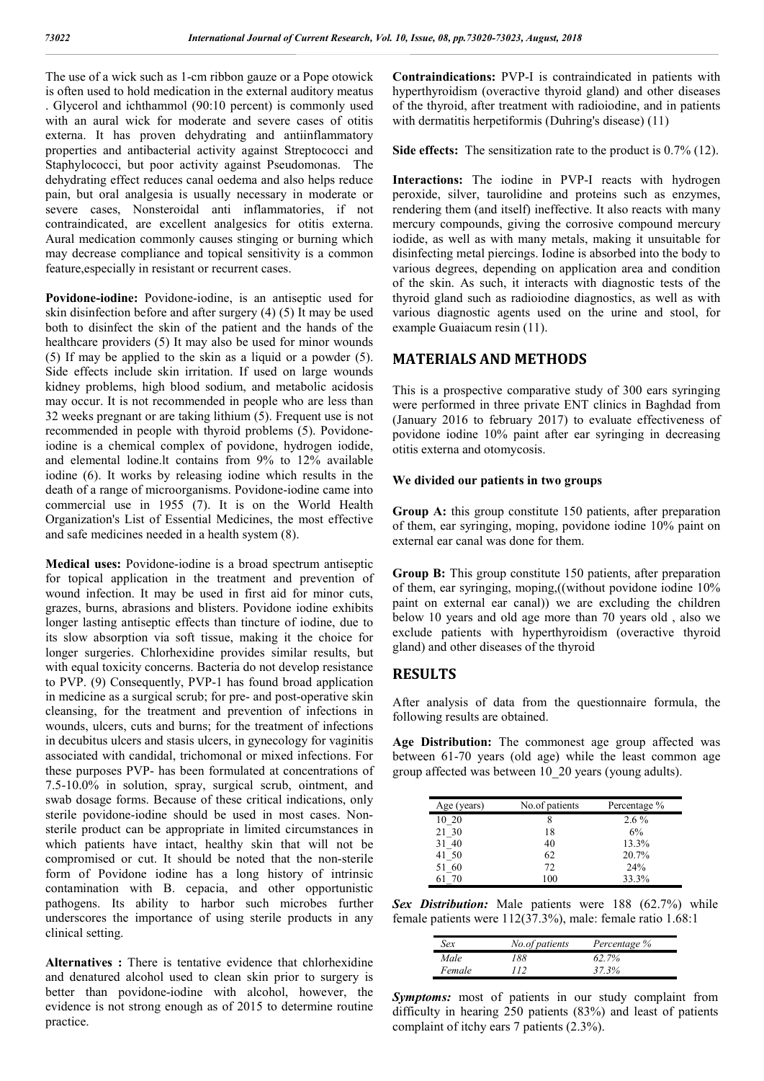The use of a wick such as 1-cm ribbon gauze or a Pope otowick is often used to hold medication in the external auditory meatus . Glycerol and ichthammol (90:10 percent) is commonly used with an aural wick for moderate and severe cases of otitis externa. It has proven dehydrating and antiinflammatory properties and antibacterial activity against Streptococci and Staphylococci, but poor activity against Pseudomonas. The dehydrating effect reduces canal oedema and also helps reduce pain, but oral analgesia is usually necessary in moderate or severe cases, Nonsteroidal anti inflammatories, if not contraindicated, are excellent analgesics for otitis externa. Aural medication commonly causes stinging or burning which may decrease compliance and topical sensitivity is a common feature,especially in resistant or recurrent cases.

**Povidone-iodine:** Povidone-iodine, is an antiseptic used for skin disinfection before and after surgery (4) (5) It may be used both to disinfect the skin of the patient and the hands of the healthcare providers (5) It may also be used for minor wounds (5) If may be applied to the skin as a liquid or a powder (5). Side effects include skin irritation. If used on large wounds kidney problems, high blood sodium, and metabolic acidosis may occur. It is not recommended in people who are less than 32 weeks pregnant or are taking lithium (5). Frequent use is not recommended in people with thyroid problems (5). Povidoneiodine is a chemical complex of povidone, hydrogen iodide, and elemental lodine.lt contains from 9% to 12% available iodine (6). It works by releasing iodine which results in the death of a range of microorganisms. Povidone-iodine came into commercial use in 1955 (7). It is on the World Health Organization's List of Essential Medicines, the most effective and safe medicines needed in a health system (8).

**Medical uses:** Povidone-iodine is a broad spectrum antiseptic for topical application in the treatment and prevention of wound infection. It may be used in first aid for minor cuts, grazes, burns, abrasions and blisters. Povidone iodine exhibits longer lasting antiseptic effects than tincture of iodine, due to its slow absorption via soft tissue, making it the choice for longer surgeries. Chlorhexidine provides similar results, but with equal toxicity concerns. Bacteria do not develop resistance to PVP. (9) Consequently, PVP-1 has found broad application in medicine as a surgical scrub; for pre- and post-operative skin cleansing, for the treatment and prevention of infections in wounds, ulcers, cuts and burns; for the treatment of infections in decubitus ulcers and stasis ulcers, in gynecology for vaginitis associated with candidal, trichomonal or mixed infections. For these purposes PVP- has been formulated at concentrations of 7.5-10.0% in solution, spray, surgical scrub, ointment, and swab dosage forms. Because of these critical indications, only sterile povidone-iodine should be used in most cases. Nonsterile product can be appropriate in limited circumstances in which patients have intact, healthy skin that will not be compromised or cut. It should be noted that the non-sterile form of Povidone iodine has a long history of intrinsic contamination with B. cepacia, and other opportunistic pathogens. Its ability to harbor such microbes further underscores the importance of using sterile products in any clinical setting.

**Alternatives :** There is tentative evidence that chlorhexidine and denatured alcohol used to clean skin prior to surgery is better than povidone-iodine with alcohol, however, the evidence is not strong enough as of 2015 to determine routine practice.

**Contraindications:** PVP-I is contraindicated in patients with hyperthyroidism (overactive thyroid gland) and other diseases of the thyroid, after treatment with radioiodine, and in patients with dermatitis herpetiformis (Duhring's disease) (11)

**Side effects:** The sensitization rate to the product is 0.7% (12).

**Interactions:** The iodine in PVP-I reacts with hydrogen peroxide, silver, taurolidine and proteins such as enzymes, rendering them (and itself) ineffective. It also reacts with many mercury compounds, giving the corrosive compound mercury iodide, as well as with many metals, making it unsuitable for disinfecting metal piercings. Iodine is absorbed into the body to various degrees, depending on application area and condition of the skin. As such, it interacts with diagnostic tests of the thyroid gland such as radioiodine diagnostics, as well as with various diagnostic agents used on the urine and stool, for example Guaiacum resin (11).

### **MATERIALS AND METHODS**

This is a prospective comparative study of 300 ears syringing were performed in three private ENT clinics in Baghdad from (January 2016 to february 2017) to evaluate effectiveness of povidone iodine 10% paint after ear syringing in decreasing otitis externa and otomycosis.

#### **We divided our patients in two groups**

**Group A:** this group constitute 150 patients, after preparation of them, ear syringing, moping, povidone iodine 10% paint on external ear canal was done for them.

**Group B:** This group constitute 150 patients, after preparation of them, ear syringing, moping,((without povidone iodine 10% paint on external ear canal)) we are excluding the children below 10 years and old age more than 70 years old , also we exclude patients with hyperthyroidism (overactive thyroid gland) and other diseases of the thyroid

#### **RESULTS**

After analysis of data from the questionnaire formula, the following results are obtained.

**Age Distribution:** The commonest age group affected was between 61-70 years (old age) while the least common age group affected was between 10\_20 years (young adults).

| Age (years) | No.of patients | Percentage % |
|-------------|----------------|--------------|
| 10 20       | 8              | $2.6\%$      |
| 21 30       | 18             | 6%           |
| 31 40       | 40             | 13.3%        |
| 41 50       | 62             | 20.7%        |
| 51 60       | 72             | 24%          |
| 61 70       | 100            | 33.3%        |

*Sex Distribution:* Male patients were 188 (62.7%) while female patients were 112(37.3%), male: female ratio 1.68:1

| Sex    | No.of patients | Percentage % |  |
|--------|----------------|--------------|--|
| Male   | 188            | 62.7%        |  |
| Female | 112            | 37.3%        |  |

*Symptoms:* most of patients in our study complaint from difficulty in hearing 250 patients (83%) and least of patients complaint of itchy ears 7 patients (2.3%).